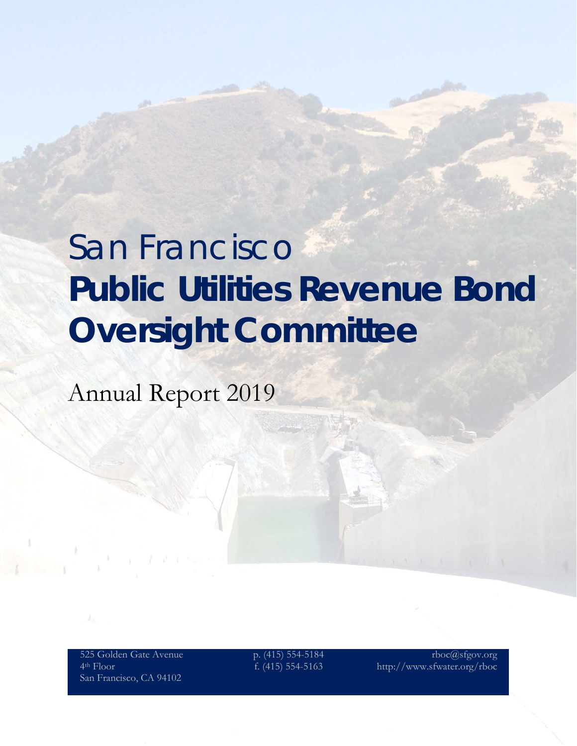# San Francisco **Public Utilities Revenue Bond Oversight Committee**

Annual Report 2019

525 Golden Gate Avenue 4th Floor San Francisco, CA 94102

p. (415) 554-5184 f. (415) 554-5163

rboc@sfgov.org http://www.sfwater.org/rboc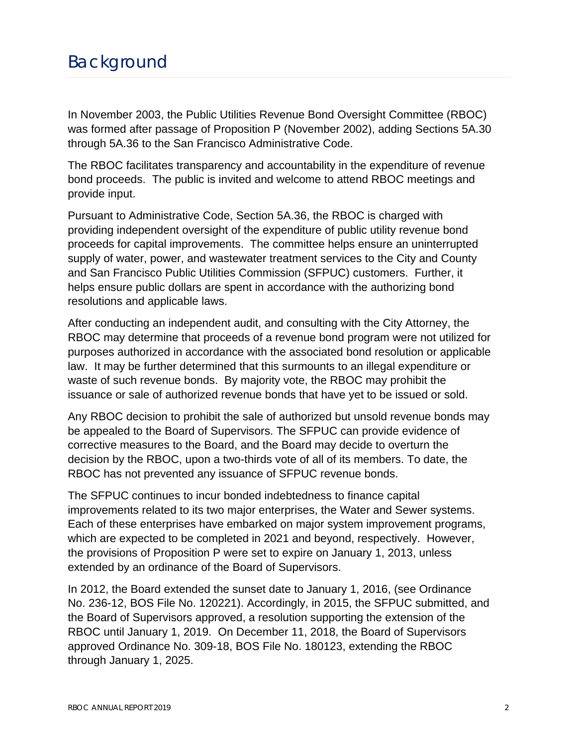# Background

In November 2003, the Public Utilities Revenue Bond Oversight Committee (RBOC) was formed after passage of Proposition P (November 2002), adding Sections 5A.30 through 5A.36 to the San Francisco Administrative Code.

The RBOC facilitates transparency and accountability in the expenditure of revenue bond proceeds. The public is invited and welcome to attend RBOC meetings and provide input.

Pursuant to Administrative Code, Section 5A.36, the RBOC is charged with providing independent oversight of the expenditure of public utility revenue bond proceeds for capital improvements. The committee helps ensure an uninterrupted supply of water, power, and wastewater treatment services to the City and County and San Francisco Public Utilities Commission (SFPUC) customers. Further, it helps ensure public dollars are spent in accordance with the authorizing bond resolutions and applicable laws.

After conducting an independent audit, and consulting with the City Attorney, the RBOC may determine that proceeds of a revenue bond program were not utilized for purposes authorized in accordance with the associated bond resolution or applicable law. It may be further determined that this surmounts to an illegal expenditure or waste of such revenue bonds. By majority vote, the RBOC may prohibit the issuance or sale of authorized revenue bonds that have yet to be issued or sold.

Any RBOC decision to prohibit the sale of authorized but unsold revenue bonds may be appealed to the Board of Supervisors. The SFPUC can provide evidence of corrective measures to the Board, and the Board may decide to overturn the decision by the RBOC, upon a two-thirds vote of all of its members. To date, the RBOC has not prevented any issuance of SFPUC revenue bonds.

The SFPUC continues to incur bonded indebtedness to finance capital improvements related to its two major enterprises, the Water and Sewer systems. Each of these enterprises have embarked on major system improvement programs, which are expected to be completed in 2021 and beyond, respectively. However, the provisions of Proposition P were set to expire on January 1, 2013, unless extended by an ordinance of the Board of Supervisors.

In 2012, the Board extended the sunset date to January 1, 2016, (see Ordinance No. 236-12, BOS File No. 120221). Accordingly, in 2015, the SFPUC submitted, and the Board of Supervisors approved, a resolution supporting the extension of the RBOC until January 1, 2019. On December 11, 2018, the Board of Supervisors approved Ordinance No. 309-18, BOS File No. 180123, extending the RBOC through January 1, 2025.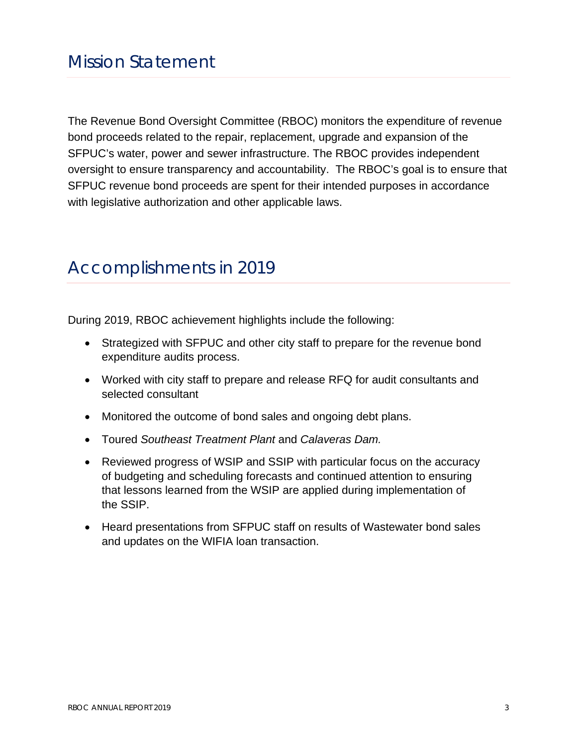The Revenue Bond Oversight Committee (RBOC) monitors the expenditure of revenue bond proceeds related to the repair, replacement, upgrade and expansion of the SFPUC's water, power and sewer infrastructure. The RBOC provides independent oversight to ensure transparency and accountability. The RBOC's goal is to ensure that SFPUC revenue bond proceeds are spent for their intended purposes in accordance with legislative authorization and other applicable laws.

### Accomplishments in 2019

During 2019, RBOC achievement highlights include the following:

- Strategized with SFPUC and other city staff to prepare for the revenue bond expenditure audits process.
- Worked with city staff to prepare and release RFQ for audit consultants and selected consultant
- Monitored the outcome of bond sales and ongoing debt plans.
- Toured *Southeast Treatment Plant* and *Calaveras Dam.*
- Reviewed progress of WSIP and SSIP with particular focus on the accuracy of budgeting and scheduling forecasts and continued attention to ensuring that lessons learned from the WSIP are applied during implementation of the SSIP.
- Heard presentations from SFPUC staff on results of Wastewater bond sales and updates on the WIFIA loan transaction.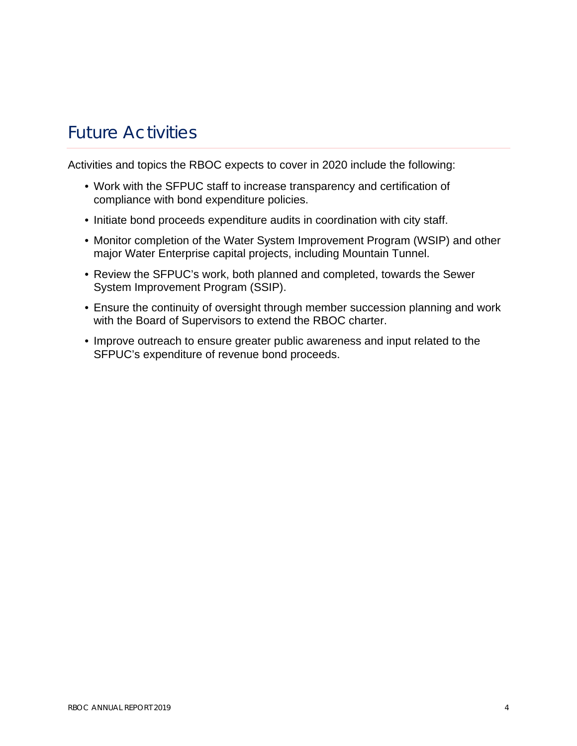# Future Activities

Activities and topics the RBOC expects to cover in 2020 include the following:

- Work with the SFPUC staff to increase transparency and certification of compliance with bond expenditure policies.
- Initiate bond proceeds expenditure audits in coordination with city staff.
- Monitor completion of the Water System Improvement Program (WSIP) and other major Water Enterprise capital projects, including Mountain Tunnel.
- Review the SFPUC's work, both planned and completed, towards the Sewer System Improvement Program (SSIP).
- Ensure the continuity of oversight through member succession planning and work with the Board of Supervisors to extend the RBOC charter.
- Improve outreach to ensure greater public awareness and input related to the SFPUC's expenditure of revenue bond proceeds.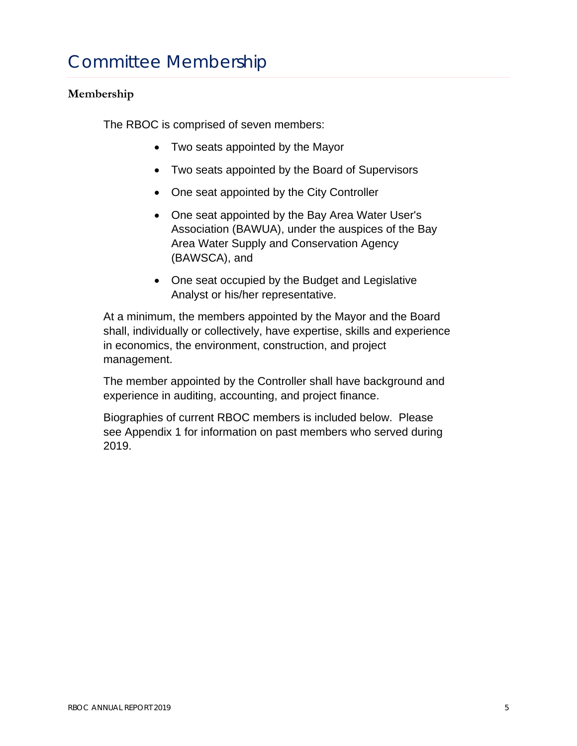# Committee Membership

### **Membership**

The RBOC is comprised of seven members:

- Two seats appointed by the Mayor
- Two seats appointed by the Board of Supervisors
- One seat appointed by the City Controller
- One seat appointed by the Bay Area Water User's Association (BAWUA), under the auspices of the Bay Area Water Supply and Conservation Agency (BAWSCA), and
- One seat occupied by the Budget and Legislative Analyst or his/her representative.

At a minimum, the members appointed by the Mayor and the Board shall, individually or collectively, have expertise, skills and experience in economics, the environment, construction, and project management.

The member appointed by the Controller shall have background and experience in auditing, accounting, and project finance.

Biographies of current RBOC members is included below. Please see Appendix 1 for information on past members who served during 2019.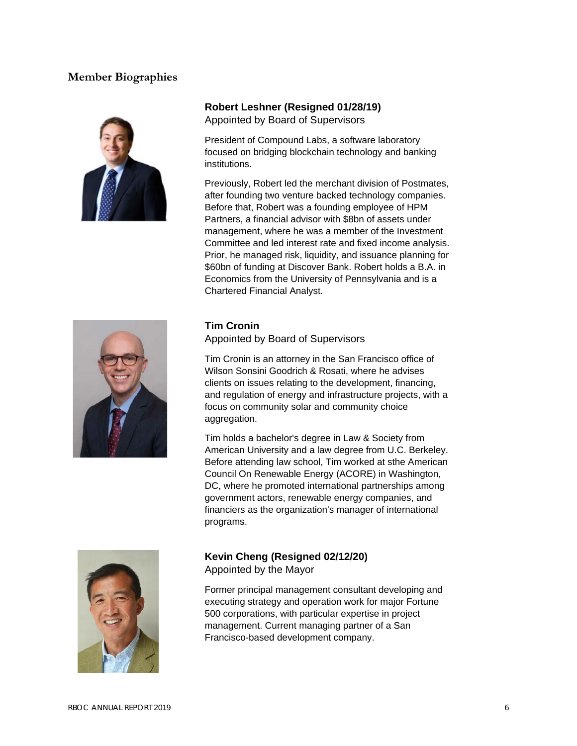#### **Member Biographies**



#### **Robert Leshner (Resigned 01/28/19)**

Appointed by Board of Supervisors

President of Compound Labs, a software laboratory focused on bridging blockchain technology and banking institutions.

Previously, Robert led the merchant division of Postmates, after founding two venture backed technology companies. Before that, Robert was a founding employee of HPM Partners, a financial advisor with \$8bn of assets under management, where he was a member of the Investment Committee and led interest rate and fixed income analysis. Prior, he managed risk, liquidity, and issuance planning for \$60bn of funding at Discover Bank. Robert holds a B.A. in Economics from the University of Pennsylvania and is a Chartered Financial Analyst.



#### **Tim Cronin**

Appointed by Board of Supervisors

Tim Cronin is an attorney in the San Francisco office of Wilson Sonsini Goodrich & Rosati, where he advises clients on issues relating to the development, financing, and regulation of energy and infrastructure projects, with a focus on community solar and community choice aggregation.

Tim holds a bachelor's degree in Law & Society from American University and a law degree from U.C. Berkeley. Before attending law school, Tim worked at sthe American Council On Renewable Energy (ACORE) in Washington, DC, where he promoted international partnerships among government actors, renewable energy companies, and financiers as the organization's manager of international programs.



### **Kevin Cheng (Resigned 02/12/20)**

Appointed by the Mayor

Former principal management consultant developing and executing strategy and operation work for major Fortune 500 corporations, with particular expertise in project management. Current managing partner of a San Francisco-based development company.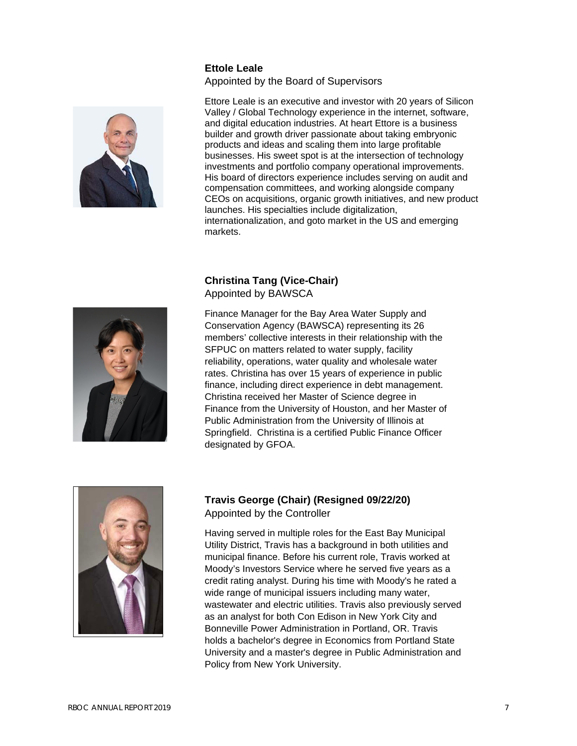#### **Ettole Leale**

Appointed by the Board of Supervisors



Ettore Leale is an executive and investor with 20 years of Silicon Valley / Global Technology experience in the internet, software, and digital education industries. At heart Ettore is a business builder and growth driver passionate about taking embryonic products and ideas and scaling them into large profitable businesses. His sweet spot is at the intersection of technology investments and portfolio company operational improvements. His board of directors experience includes serving on audit and compensation committees, and working alongside company CEOs on acquisitions, organic growth initiatives, and new product launches. His specialties include digitalization, internationalization, and goto market in the US and emerging markets.

#### **Christina Tang (Vice-Chair)** Appointed by BAWSCA



Finance Manager for the Bay Area Water Supply and Conservation Agency (BAWSCA) representing its 26 members' collective interests in their relationship with the SFPUC on matters related to water supply, facility reliability, operations, water quality and wholesale water rates. Christina has over 15 years of experience in public finance, including direct experience in debt management. Christina received her Master of Science degree in Finance from the University of Houston, and her Master of Public Administration from the University of Illinois at Springfield. Christina is a certified Public Finance Officer designated by GFOA.



#### **Travis George (Chair) (Resigned 09/22/20)** Appointed by the Controller

Having served in multiple roles for the East Bay Municipal Utility District, Travis has a background in both utilities and municipal finance. Before his current role, Travis worked at Moody's Investors Service where he served five years as a credit rating analyst. During his time with Moody's he rated a wide range of municipal issuers including many water, wastewater and electric utilities. Travis also previously served as an analyst for both Con Edison in New York City and Bonneville Power Administration in Portland, OR. Travis holds a bachelor's degree in Economics from Portland State University and a master's degree in Public Administration and Policy from New York University.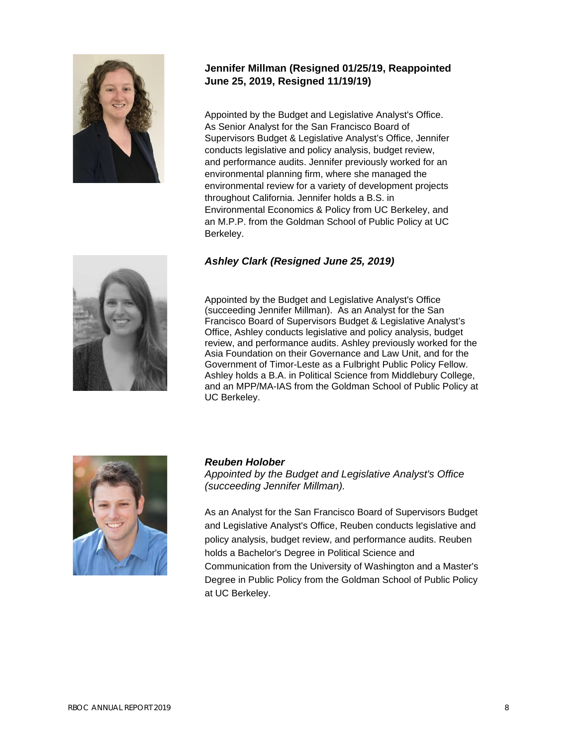

#### **Jennifer Millman (Resigned 01/25/19, Reappointed June 25, 2019, Resigned 11/19/19)**

Appointed by the Budget and Legislative Analyst's Office. As Senior Analyst for the San Francisco Board of Supervisors Budget & Legislative Analyst's Office, Jennifer conducts legislative and policy analysis, budget review, and performance audits. Jennifer previously worked for an environmental planning firm, where she managed the environmental review for a variety of development projects throughout California. Jennifer holds a B.S. in Environmental Economics & Policy from UC Berkeley, and an M.P.P. from the Goldman School of Public Policy at UC Berkeley.

#### *Ashley Clark (Resigned June 25, 2019)*



Appointed by the Budget and Legislative Analyst's Office (succeeding Jennifer Millman). As an Analyst for the San Francisco Board of Supervisors Budget & Legislative Analyst's Office, Ashley conducts legislative and policy analysis, budget review, and performance audits. Ashley previously worked for the Asia Foundation on their Governance and Law Unit, and for the Government of Timor-Leste as a Fulbright Public Policy Fellow. Ashley holds a B.A. in Political Science from Middlebury College, and an MPP/MA-IAS from the Goldman School of Public Policy at UC Berkeley.



#### *Reuben Holober*

*Appointed by the Budget and Legislative Analyst's Office (succeeding Jennifer Millman).* 

As an Analyst for the San Francisco Board of Supervisors Budget and Legislative Analyst's Office, Reuben conducts legislative and policy analysis, budget review, and performance audits. Reuben holds a Bachelor's Degree in Political Science and Communication from the University of Washington and a Master's Degree in Public Policy from the Goldman School of Public Policy at UC Berkeley.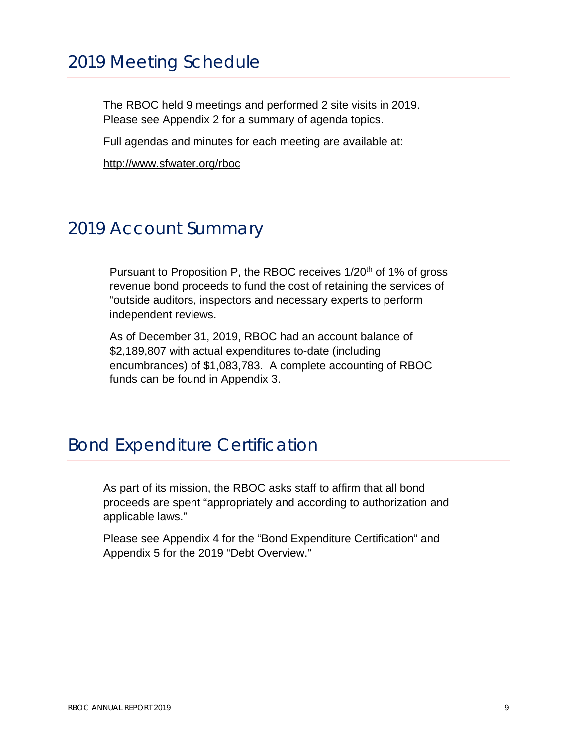### 2019 Meeting Schedule

The RBOC held 9 meetings and performed 2 site visits in 2019. Please see Appendix 2 for a summary of agenda topics.

Full agendas and minutes for each meeting are available at:

<http://www.sfwater.org/rboc>

### 2019 Account Summary

Pursuant to Proposition P, the RBOC receives 1/20<sup>th</sup> of 1% of gross revenue bond proceeds to fund the cost of retaining the services of "outside auditors, inspectors and necessary experts to perform independent reviews.

As of December 31, 2019, RBOC had an account balance of \$2,189,807 with actual expenditures to-date (including encumbrances) of \$1,083,783. A complete accounting of RBOC funds can be found in Appendix 3.

### Bond Expenditure Certification

As part of its mission, the RBOC asks staff to affirm that all bond proceeds are spent "appropriately and according to authorization and applicable laws."

Please see Appendix 4 for the "Bond Expenditure Certification" and Appendix 5 for the 2019 "Debt Overview."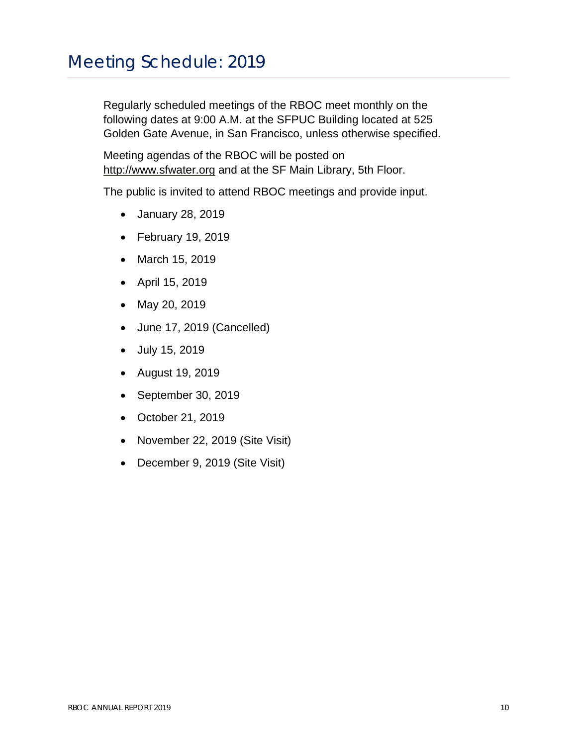# Meeting Schedule: 2019

Regularly scheduled meetings of the RBOC meet monthly on the following dates at 9:00 A.M. at the SFPUC Building located at 525 Golden Gate Avenue, in San Francisco, unless otherwise specified.

Meeting agendas of the RBOC will be posted on [http://www.sfwater.org](http://www.sfwater.org/) and at the SF Main Library, 5th Floor.

The public is invited to attend RBOC meetings and provide input.

- January 28, 2019
- February 19, 2019
- March 15, 2019
- April 15, 2019
- May 20, 2019
- June 17, 2019 (Cancelled)
- July 15, 2019
- August 19, 2019
- September 30, 2019
- October 21, 2019
- November 22, 2019 (Site Visit)
- December 9, 2019 (Site Visit)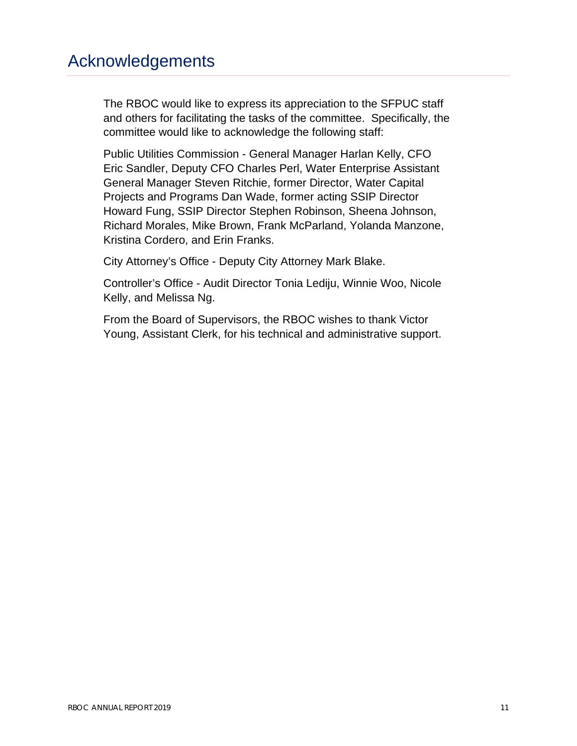### Acknowledgements

The RBOC would like to express its appreciation to the SFPUC staff and others for facilitating the tasks of the committee. Specifically, the committee would like to acknowledge the following staff:

Public Utilities Commission - General Manager Harlan Kelly, CFO Eric Sandler, Deputy CFO Charles Perl, Water Enterprise Assistant General Manager Steven Ritchie, former Director, Water Capital Projects and Programs Dan Wade, former acting SSIP Director Howard Fung, SSIP Director Stephen Robinson, Sheena Johnson, Richard Morales, Mike Brown, Frank McParland, Yolanda Manzone, Kristina Cordero, and Erin Franks.

City Attorney's Office - Deputy City Attorney Mark Blake.

Controller's Office - Audit Director Tonia Lediju, Winnie Woo, Nicole Kelly, and Melissa Ng.

From the Board of Supervisors, the RBOC wishes to thank Victor Young, Assistant Clerk, for his technical and administrative support.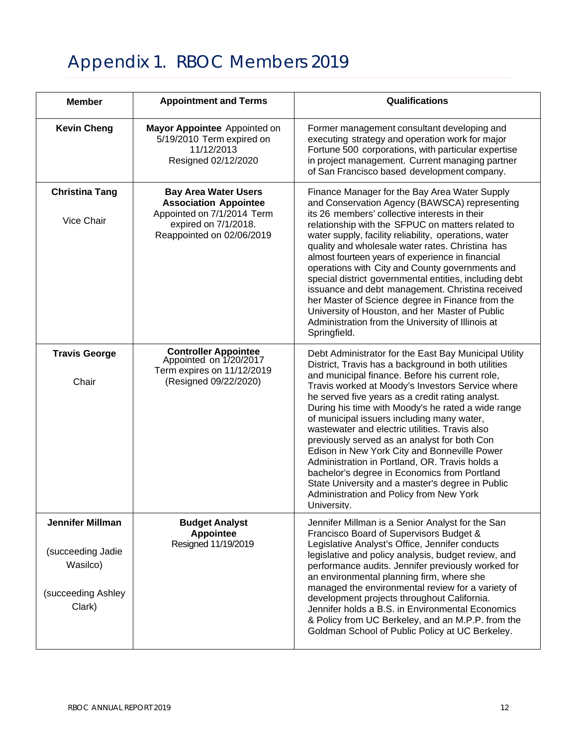# Appendix 1. RBOC Members 2019

| <b>Member</b>                                                                            | <b>Appointment and Terms</b>                                                                                                                   | Qualifications                                                                                                                                                                                                                                                                                                                                                                                                                                                                                                                                                                                                                                                                                                                                |
|------------------------------------------------------------------------------------------|------------------------------------------------------------------------------------------------------------------------------------------------|-----------------------------------------------------------------------------------------------------------------------------------------------------------------------------------------------------------------------------------------------------------------------------------------------------------------------------------------------------------------------------------------------------------------------------------------------------------------------------------------------------------------------------------------------------------------------------------------------------------------------------------------------------------------------------------------------------------------------------------------------|
| <b>Kevin Cheng</b>                                                                       | Mayor Appointee Appointed on<br>5/19/2010 Term expired on<br>11/12/2013<br>Resigned 02/12/2020                                                 | Former management consultant developing and<br>executing strategy and operation work for major<br>Fortune 500 corporations, with particular expertise<br>in project management. Current managing partner<br>of San Francisco based development company.                                                                                                                                                                                                                                                                                                                                                                                                                                                                                       |
| <b>Christina Tang</b><br>Vice Chair                                                      | <b>Bay Area Water Users</b><br><b>Association Appointee</b><br>Appointed on 7/1/2014 Term<br>expired on 7/1/2018.<br>Reappointed on 02/06/2019 | Finance Manager for the Bay Area Water Supply<br>and Conservation Agency (BAWSCA) representing<br>its 26 members' collective interests in their<br>relationship with the SFPUC on matters related to<br>water supply, facility reliability, operations, water<br>quality and wholesale water rates. Christina has<br>almost fourteen years of experience in financial<br>operations with City and County governments and<br>special district governmental entities, including debt<br>issuance and debt management. Christina received<br>her Master of Science degree in Finance from the<br>University of Houston, and her Master of Public<br>Administration from the University of Illinois at<br>Springfield.                            |
| <b>Travis George</b><br>Chair                                                            | <b>Controller Appointee</b><br>Appointed on 1/20/2017<br>Term expires on 11/12/2019<br>(Resigned 09/22/2020)                                   | Debt Administrator for the East Bay Municipal Utility<br>District, Travis has a background in both utilities<br>and municipal finance. Before his current role,<br>Travis worked at Moody's Investors Service where<br>he served five years as a credit rating analyst.<br>During his time with Moody's he rated a wide range<br>of municipal issuers including many water,<br>wastewater and electric utilities. Travis also<br>previously served as an analyst for both Con<br>Edison in New York City and Bonneville Power<br>Administration in Portland, OR. Travis holds a<br>bachelor's degree in Economics from Portland<br>State University and a master's degree in Public<br>Administration and Policy from New York<br>University. |
| <b>Jennifer Millman</b><br>(succeeding Jadie<br>Wasilco)<br>(succeeding Ashley<br>Clark) | <b>Budget Analyst</b><br><b>Appointee</b><br>Resigned 11/19/2019                                                                               | Jennifer Millman is a Senior Analyst for the San<br>Francisco Board of Supervisors Budget &<br>Legislative Analyst's Office, Jennifer conducts<br>legislative and policy analysis, budget review, and<br>performance audits. Jennifer previously worked for<br>an environmental planning firm, where she<br>managed the environmental review for a variety of<br>development projects throughout California.<br>Jennifer holds a B.S. in Environmental Economics<br>& Policy from UC Berkeley, and an M.P.P. from the<br>Goldman School of Public Policy at UC Berkeley.                                                                                                                                                                      |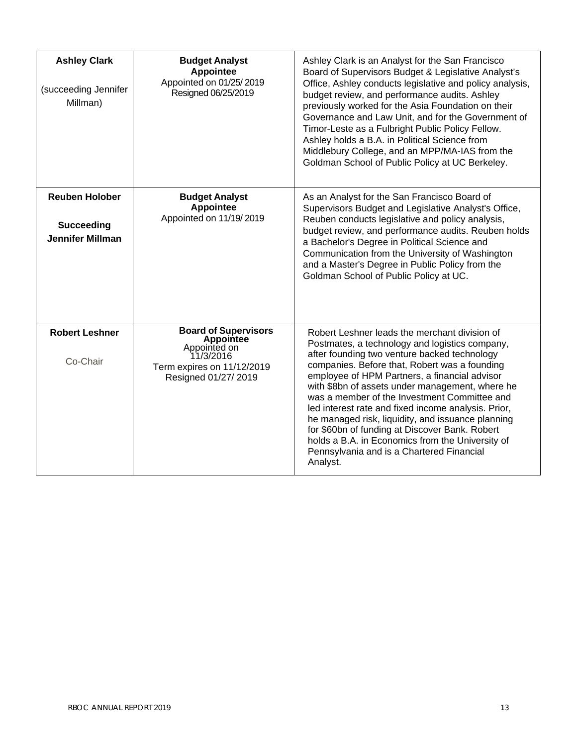| <b>Ashley Clark</b><br>(succeeding Jennifer<br>Millman)               | <b>Budget Analyst</b><br>Appointee<br>Appointed on 01/25/2019<br>Resigned 06/25/2019                                               | Ashley Clark is an Analyst for the San Francisco<br>Board of Supervisors Budget & Legislative Analyst's<br>Office, Ashley conducts legislative and policy analysis,<br>budget review, and performance audits. Ashley<br>previously worked for the Asia Foundation on their<br>Governance and Law Unit, and for the Government of<br>Timor-Leste as a Fulbright Public Policy Fellow.<br>Ashley holds a B.A. in Political Science from<br>Middlebury College, and an MPP/MA-IAS from the<br>Goldman School of Public Policy at UC Berkeley.                                                                                      |
|-----------------------------------------------------------------------|------------------------------------------------------------------------------------------------------------------------------------|---------------------------------------------------------------------------------------------------------------------------------------------------------------------------------------------------------------------------------------------------------------------------------------------------------------------------------------------------------------------------------------------------------------------------------------------------------------------------------------------------------------------------------------------------------------------------------------------------------------------------------|
| <b>Reuben Holober</b><br><b>Succeeding</b><br><b>Jennifer Millman</b> | <b>Budget Analyst</b><br>Appointee<br>Appointed on 11/19/2019                                                                      | As an Analyst for the San Francisco Board of<br>Supervisors Budget and Legislative Analyst's Office,<br>Reuben conducts legislative and policy analysis,<br>budget review, and performance audits. Reuben holds<br>a Bachelor's Degree in Political Science and<br>Communication from the University of Washington<br>and a Master's Degree in Public Policy from the<br>Goldman School of Public Policy at UC.                                                                                                                                                                                                                 |
| <b>Robert Leshner</b><br>Co-Chair                                     | <b>Board of Supervisors</b><br><b>Appointee</b><br>Appointed on<br>11/3/2016<br>Term expires on 11/12/2019<br>Resigned 01/27/ 2019 | Robert Leshner leads the merchant division of<br>Postmates, a technology and logistics company,<br>after founding two venture backed technology<br>companies. Before that, Robert was a founding<br>employee of HPM Partners, a financial advisor<br>with \$8bn of assets under management, where he<br>was a member of the Investment Committee and<br>led interest rate and fixed income analysis. Prior,<br>he managed risk, liquidity, and issuance planning<br>for \$60bn of funding at Discover Bank. Robert<br>holds a B.A. in Economics from the University of<br>Pennsylvania and is a Chartered Financial<br>Analyst. |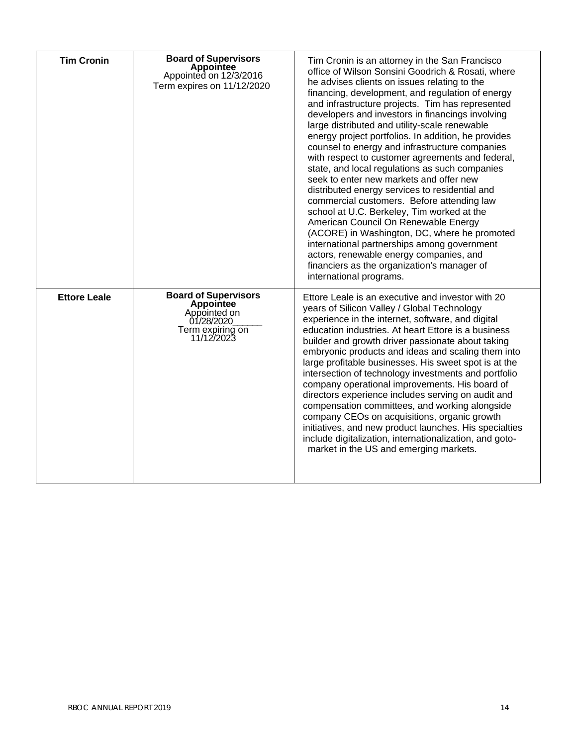| <b>Tim Cronin</b>   | <b>Board of Supervisors</b><br><b>Appointee</b><br>Appointed on 12/3/2016<br>Term expires on 11/12/2020  | Tim Cronin is an attorney in the San Francisco<br>office of Wilson Sonsini Goodrich & Rosati, where<br>he advises clients on issues relating to the<br>financing, development, and regulation of energy<br>and infrastructure projects. Tim has represented<br>developers and investors in financings involving<br>large distributed and utility-scale renewable<br>energy project portfolios. In addition, he provides<br>counsel to energy and infrastructure companies<br>with respect to customer agreements and federal,<br>state, and local regulations as such companies<br>seek to enter new markets and offer new<br>distributed energy services to residential and<br>commercial customers. Before attending law<br>school at U.C. Berkeley, Tim worked at the<br>American Council On Renewable Energy<br>(ACORE) in Washington, DC, where he promoted<br>international partnerships among government<br>actors, renewable energy companies, and<br>financiers as the organization's manager of<br>international programs. |
|---------------------|----------------------------------------------------------------------------------------------------------|--------------------------------------------------------------------------------------------------------------------------------------------------------------------------------------------------------------------------------------------------------------------------------------------------------------------------------------------------------------------------------------------------------------------------------------------------------------------------------------------------------------------------------------------------------------------------------------------------------------------------------------------------------------------------------------------------------------------------------------------------------------------------------------------------------------------------------------------------------------------------------------------------------------------------------------------------------------------------------------------------------------------------------------|
| <b>Ettore Leale</b> | <b>Board of Supervisors</b><br>Appointee<br>Appointed on<br>01/28/2020<br>Term expiring on<br>11/12/2023 | Ettore Leale is an executive and investor with 20<br>years of Silicon Valley / Global Technology<br>experience in the internet, software, and digital<br>education industries. At heart Ettore is a business<br>builder and growth driver passionate about taking<br>embryonic products and ideas and scaling them into<br>large profitable businesses. His sweet spot is at the<br>intersection of technology investments and portfolio<br>company operational improvements. His board of<br>directors experience includes serving on audit and<br>compensation committees, and working alongside<br>company CEOs on acquisitions, organic growth<br>initiatives, and new product launches. His specialties<br>include digitalization, internationalization, and goto-<br>market in the US and emerging markets.                                                                                                                                                                                                                    |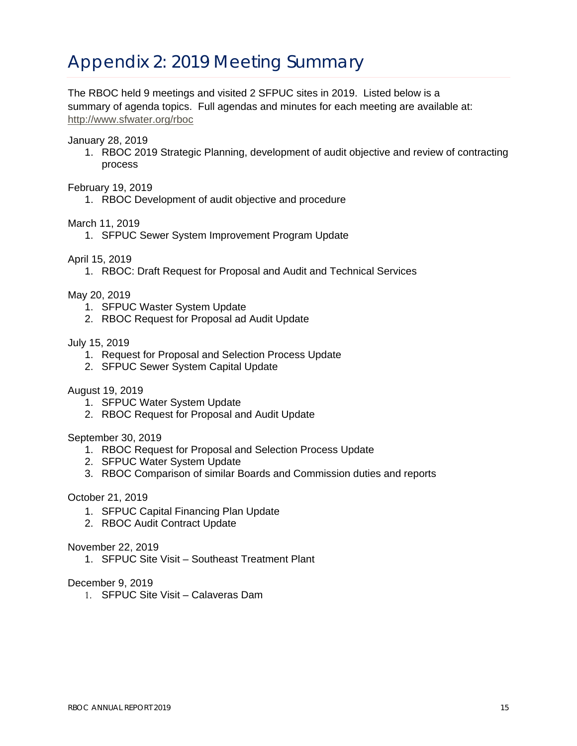# Appendix 2: 2019 Meeting Summary

The RBOC held 9 meetings and visited 2 SFPUC sites in 2019. Listed below is a summary of agenda topics. Full agendas and minutes for each meeting are available at: <http://www.sfwater.org/rboc>

January 28, 2019

1. RBOC 2019 Strategic Planning, development of audit objective and review of contracting process

February 19, 2019

1. RBOC Development of audit objective and procedure

March 11, 2019

1. SFPUC Sewer System Improvement Program Update

April 15, 2019

1. RBOC: Draft Request for Proposal and Audit and Technical Services

May 20, 2019

- 1. SFPUC Waster System Update
- 2. RBOC Request for Proposal ad Audit Update

#### July 15, 2019

- 1. Request for Proposal and Selection Process Update
- 2. SFPUC Sewer System Capital Update

#### August 19, 2019

- 1. SFPUC Water System Update
- 2. RBOC Request for Proposal and Audit Update

#### September 30, 2019

- 1. RBOC Request for Proposal and Selection Process Update
- 2. SFPUC Water System Update
- 3. RBOC Comparison of similar Boards and Commission duties and reports

October 21, 2019

- 1. SFPUC Capital Financing Plan Update
- 2. RBOC Audit Contract Update

November 22, 2019

1. SFPUC Site Visit – Southeast Treatment Plant

#### December 9, 2019

1. SFPUC Site Visit – Calaveras Dam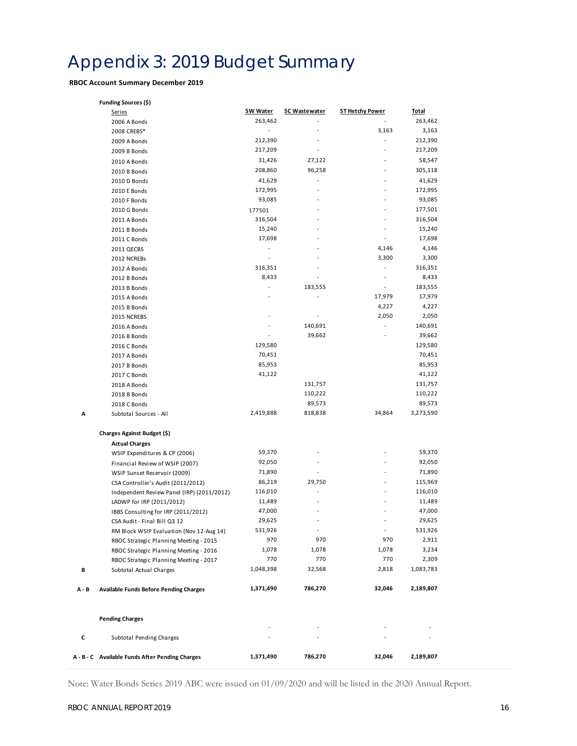# Appendix 3: 2019 Budget Summary

#### **RBOC Account Summary December 2019**

|         | <b>Funding Sources (\$)</b>                     |           |                          |                        |                  |
|---------|-------------------------------------------------|-----------|--------------------------|------------------------|------------------|
|         | <b>Series</b>                                   | 5W Water  | <b>5C Wastewater</b>     | <u>5T Hetchy Power</u> | <u>Total</u>     |
|         | 2006 A Bonds                                    | 263,462   |                          |                        | 263,462          |
|         | 2008 CREBS*                                     |           |                          | 3,163                  | 3,163            |
|         | 2009 A Bonds                                    | 212,390   | $\sim$                   |                        | 212,390          |
|         | 2009 B Bonds                                    | 217,209   | $\overline{a}$           |                        | 217,209          |
|         | 2010 A Bonds                                    | 31,426    | 27,122                   |                        | 58,547           |
|         | 2010 B Bonds                                    | 208,860   | 96,258                   |                        | 305,118          |
|         | 2010 D Bonds                                    | 41,629    |                          |                        | 41,629           |
|         | 2010 E Bonds                                    | 172,995   | ÷,                       |                        | 172,995          |
|         | 2010 F Bonds                                    | 93,085    | ÷,                       |                        | 93,085           |
|         | 2010 G Bonds                                    | 177501    | ä,                       |                        | 177,501          |
|         | 2011 A Bonds                                    | 316,504   | $\overline{a}$           |                        | 316,504          |
|         | 2011 B Bonds                                    | 15,240    |                          |                        | 15,240           |
|         | 2011 C Bonds                                    | 17,698    |                          |                        | 17,698           |
|         | 2011 QECBS                                      | ÷,        |                          | 4,146                  | 4,146            |
|         | 2012 NCREBs                                     |           | ÷,                       | 3,300                  | 3,300            |
|         | 2012 A Bonds                                    | 316,351   | ÷,                       |                        | 316,351          |
|         | 2012 B Bonds                                    | 8,433     |                          |                        | 8,433            |
|         | 2013 B Bonds                                    | ÷.        | 183,555                  | ٠                      | 183,555          |
|         | 2015 A Bonds                                    |           |                          | 17,979                 | 17,979           |
|         | 2015 B Bonds                                    |           |                          | 4,227                  | 4,227            |
|         | 2015 NCREBS                                     |           | $\overline{\phantom{a}}$ | 2,050                  | 2,050            |
|         |                                                 |           | 140,691                  |                        | 140,691          |
|         | 2016 A Bonds                                    |           | 39,662                   |                        | 39,662           |
|         | 2016 B Bonds                                    | 129,580   |                          |                        | 129,580          |
|         | 2016 C Bonds                                    | 70,451    |                          |                        |                  |
|         | 2017 A Bonds                                    | 85,953    |                          |                        | 70,451<br>85,953 |
|         | 2017 B Bonds                                    |           |                          |                        |                  |
|         | 2017 C Bonds                                    | 41,122    |                          |                        | 41,122           |
|         | 2018 A Bonds                                    |           | 131,757                  |                        | 131,757          |
|         | 2018 B Bonds                                    |           | 110,222                  |                        | 110,222          |
|         | 2018 C Bonds                                    |           | 89,573                   |                        | 89,573           |
| А       | Subtotal Sources - All                          | 2,419,888 | 818,838                  | 34,864                 | 3,273,590        |
|         | Charges Against Budget (\$)                     |           |                          |                        |                  |
|         | <b>Actual Charges</b>                           |           |                          |                        |                  |
|         | WSIP Expenditures & CP (2006)                   | 59,370    | ÷,                       |                        | 59,370           |
|         | Financial Review of WSIP (2007)                 | 92,050    | $\overline{\phantom{a}}$ |                        | 92,050           |
|         | WSIP Sunset Reservoir (2009)                    | 71,890    | ÷,                       |                        | 71,890           |
|         | CSA Controller's Audit (2011/2012)              | 86,219    | 29,750                   |                        | 115,969          |
|         | Independent Review Panel (IRP) (2011/2012)      | 116,010   |                          |                        | 116,010          |
|         | LADWP for IRP (2011/2012)                       | 11,489    |                          |                        | 11,489           |
|         | IBBS Consulting for IRP (2011/2012)             | 47,000    |                          |                        | 47,000           |
|         | CSA Audit - Final Bill Q3 12                    | 29,625    |                          |                        | 29,625           |
|         | RM Block WSIP Evaluation (Nov 12-Aug 14)        | 531,926   | $\sim$                   | ÷                      | 531,926          |
|         | RBOC Strategic Planning Meeting - 2015          | 970       | 970                      | 970                    | 2,911            |
|         | RBOC Strategic Planning Meeting - 2016          | 1,078     | 1,078                    | 1,078                  | 3,234            |
|         | RBOC Strategic Planning Meeting - 2017          | 770       | 770                      | 770                    | 2,309            |
| В       | Subtotal Actual Charges                         | 1,048,398 | 32,568                   | 2,818                  | 1,083,783        |
| $A - B$ | <b>Available Funds Before Pending Charges</b>   | 1,371,490 | 786,270                  | 32,046                 | 2,189,807        |
|         | <b>Pending Charges</b>                          |           |                          |                        |                  |
|         |                                                 |           |                          |                        |                  |
| c       | Subtotal Pending Charges                        |           |                          |                        |                  |
|         | A - B - C Available Funds After Pending Charges | 1,371,490 | 786,270                  | 32,046                 | 2,189,807        |

Note: Water Bonds Series 2019 ABC were issued on 01/09/2020 and will be listed in the 2020 Annual Report.

 $\hat{\boldsymbol{\beta}}$ 

 $\hat{\boldsymbol{\theta}}$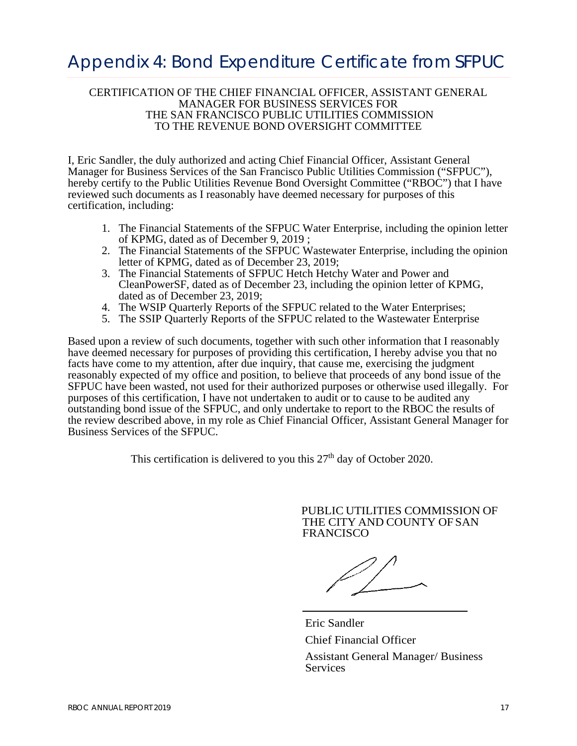### Appendix 4: Bond Expenditure Certificate from SFPUC

#### CERTIFICATION OF THE CHIEF FINANCIAL OFFICER, ASSISTANT GENERAL MANAGER FOR BUSINESS SERVICES FOR THE SAN FRANCISCO PUBLIC UTILITIES COMMISSION TO THE REVENUE BOND OVERSIGHT COMMITTEE

I, Eric Sandler, the duly authorized and acting Chief Financial Officer, Assistant General Manager for Business Services of the San Francisco Public Utilities Commission ("SFPUC"), hereby certify to the Public Utilities Revenue Bond Oversight Committee ("RBOC") that I have reviewed such documents as I reasonably have deemed necessary for purposes of this certification, including:

- 1. The Financial Statements of the SFPUC Water Enterprise, including the opinion letter of KPMG, dated as of December 9, 2019 ;
- 2. The Financial Statements of the SFPUC Wastewater Enterprise, including the opinion letter of KPMG, dated as of December 23, 2019;
- 3. The Financial Statements of SFPUC Hetch Hetchy Water and Power and CleanPowerSF, dated as of December 23, including the opinion letter of KPMG, dated as of December 23, 2019;
- 4. The WSIP Quarterly Reports of the SFPUC related to the Water Enterprises;
- 5. The SSIP Quarterly Reports of the SFPUC related to the Wastewater Enterprise

Based upon a review of such documents, together with such other information that I reasonably have deemed necessary for purposes of providing this certification, I hereby advise you that no facts have come to my attention, after due inquiry, that cause me, exercising the judgment reasonably expected of my office and position, to believe that proceeds of any bond issue of the SFPUC have been wasted, not used for their authorized purposes or otherwise used illegally. For purposes of this certification, I have not undertaken to audit or to cause to be audited any outstanding bond issue of the SFPUC, and only undertake to report to the RBOC the results of the review described above, in my role as Chief Financial Officer, Assistant General Manager for Business Services of the SFPUC.

This certification is delivered to you this  $27<sup>th</sup>$  day of October 2020.

PUBLIC UTILITIES COMMISSION OF THE CITY AND COUNTY OF SAN FRANCISCO

Eric Sandler Chief Financial Officer

Assistant General Manager/ Business Services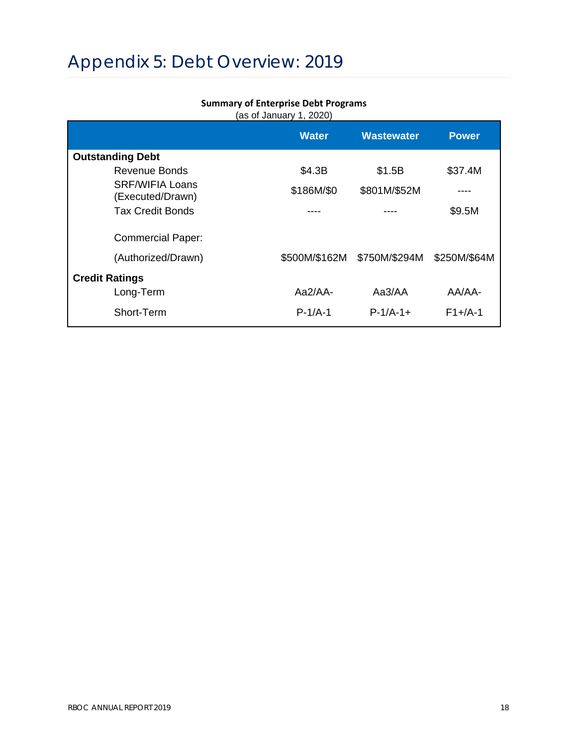# Appendix 5: Debt Overview: 2019

#### **Summary of Enterprise Debt Programs**

(as of January 1, 2020)

|                                            | <b>Water</b>  | <b>Wastewater</b> | <b>Power</b>   |
|--------------------------------------------|---------------|-------------------|----------------|
| <b>Outstanding Debt</b>                    |               |                   |                |
| Revenue Bonds                              | \$4.3B        | \$1.5B            | \$37.4M        |
| <b>SRF/WIFIA Loans</b><br>(Executed/Drawn) | \$186M/\$0    | \$801M/\$52M      |                |
| <b>Tax Credit Bonds</b>                    |               |                   | \$9.5M         |
| <b>Commercial Paper:</b>                   |               |                   |                |
| (Authorized/Drawn)                         | \$500M/\$162M | \$750M/\$294M     | \$250M/\$64M   |
| <b>Credit Ratings</b>                      |               |                   |                |
| Long-Term                                  | $Aa2/AA-$     | Aa3/AA            | AA/AA-         |
| Short-Term                                 | $P-1/A-1$     | $P-1/A-1+$        | $F1 + / A - 1$ |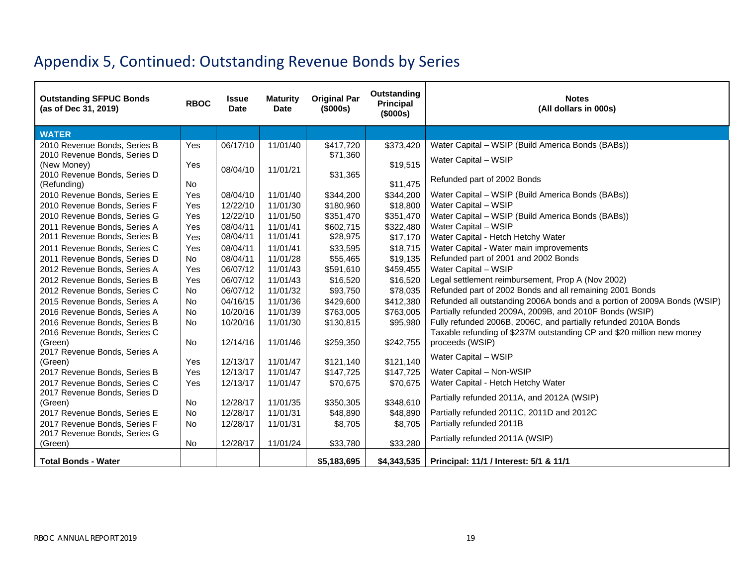# Appendix 5, Continued: Outstanding Revenue Bonds by Series

| <b>Outstanding SFPUC Bonds</b><br>(as of Dec 31, 2019)       | <b>RBOC</b> | <b>Issue</b><br><b>Date</b> | <b>Maturity</b><br><b>Date</b> | <b>Original Par</b><br>(\$000s) | <b>Outstanding</b><br>Principal<br>(\$000s) | <b>Notes</b><br>(All dollars in 000s)                                                                                                    |
|--------------------------------------------------------------|-------------|-----------------------------|--------------------------------|---------------------------------|---------------------------------------------|------------------------------------------------------------------------------------------------------------------------------------------|
| <b>WATER</b>                                                 |             |                             |                                |                                 |                                             |                                                                                                                                          |
| 2010 Revenue Bonds, Series B                                 | Yes         | 06/17/10                    | 11/01/40                       | \$417,720                       | \$373,420                                   | Water Capital - WSIP (Build America Bonds (BABs))                                                                                        |
| 2010 Revenue Bonds, Series D                                 |             |                             |                                | \$71,360                        |                                             | Water Capital - WSIP                                                                                                                     |
| (New Money)<br>2010 Revenue Bonds, Series D                  | Yes         | 08/04/10                    | 11/01/21                       |                                 | \$19,515                                    |                                                                                                                                          |
| (Refunding)                                                  | <b>No</b>   |                             |                                | \$31,365                        | \$11,475                                    | Refunded part of 2002 Bonds                                                                                                              |
| 2010 Revenue Bonds, Series E                                 | Yes         | 08/04/10                    | 11/01/40                       | \$344,200                       | \$344,200                                   | Water Capital - WSIP (Build America Bonds (BABs))                                                                                        |
| 2010 Revenue Bonds, Series F                                 | Yes         | 12/22/10                    | 11/01/30                       | \$180,960                       | \$18,800                                    | Water Capital - WSIP                                                                                                                     |
| 2010 Revenue Bonds, Series G                                 | Yes         | 12/22/10                    | 11/01/50                       | \$351,470                       | \$351,470                                   | Water Capital - WSIP (Build America Bonds (BABs))                                                                                        |
| 2011 Revenue Bonds, Series A                                 | Yes         | 08/04/11                    | 11/01/41                       | \$602,715                       | \$322,480                                   | Water Capital - WSIP                                                                                                                     |
| 2011 Revenue Bonds, Series B                                 | Yes         | 08/04/11                    | 11/01/41                       | \$28,975                        | \$17,170                                    | Water Capital - Hetch Hetchy Water                                                                                                       |
| 2011 Revenue Bonds, Series C                                 | Yes         | 08/04/11                    | 11/01/41                       | \$33,595                        | \$18,715                                    | Water Capital - Water main improvements                                                                                                  |
| 2011 Revenue Bonds, Series D                                 | <b>No</b>   | 08/04/11                    | 11/01/28                       | \$55,465                        | \$19,135                                    | Refunded part of 2001 and 2002 Bonds                                                                                                     |
| 2012 Revenue Bonds, Series A                                 | Yes         | 06/07/12                    | 11/01/43                       | \$591,610                       | \$459,455                                   | Water Capital - WSIP                                                                                                                     |
| 2012 Revenue Bonds, Series B                                 | Yes         | 06/07/12                    | 11/01/43                       | \$16,520                        | \$16,520                                    | Legal settlement reimbursement, Prop A (Nov 2002)                                                                                        |
| 2012 Revenue Bonds, Series C                                 | <b>No</b>   | 06/07/12                    | 11/01/32                       | \$93,750                        | \$78,035                                    | Refunded part of 2002 Bonds and all remaining 2001 Bonds                                                                                 |
| 2015 Revenue Bonds, Series A                                 | <b>No</b>   | 04/16/15                    | 11/01/36                       | \$429,600                       | \$412,380                                   | Refunded all outstanding 2006A bonds and a portion of 2009A Bonds (WSIP)                                                                 |
| 2016 Revenue Bonds, Series A                                 | <b>No</b>   | 10/20/16                    | 11/01/39                       | \$763,005                       | \$763,005                                   | Partially refunded 2009A, 2009B, and 2010F Bonds (WSIP)                                                                                  |
| 2016 Revenue Bonds, Series B<br>2016 Revenue Bonds, Series C | <b>No</b>   | 10/20/16                    | 11/01/30                       | \$130,815                       | \$95,980                                    | Fully refunded 2006B, 2006C, and partially refunded 2010A Bonds<br>Taxable refunding of \$237M outstanding CP and \$20 million new money |
| (Green)                                                      | No          | 12/14/16                    | 11/01/46                       | \$259,350                       | \$242,755                                   | proceeds (WSIP)                                                                                                                          |
| 2017 Revenue Bonds, Series A                                 |             |                             |                                |                                 |                                             |                                                                                                                                          |
| (Green)                                                      | Yes         | 12/13/17                    | 11/01/47                       | \$121,140                       | \$121,140                                   | Water Capital - WSIP                                                                                                                     |
| 2017 Revenue Bonds, Series B                                 | Yes         | 12/13/17                    | 11/01/47                       | \$147,725                       | \$147,725                                   | Water Capital - Non-WSIP                                                                                                                 |
| 2017 Revenue Bonds, Series C                                 | Yes         | 12/13/17                    | 11/01/47                       | \$70,675                        | \$70,675                                    | Water Capital - Hetch Hetchy Water                                                                                                       |
| 2017 Revenue Bonds, Series D                                 |             |                             |                                |                                 |                                             | Partially refunded 2011A, and 2012A (WSIP)                                                                                               |
| (Green)                                                      | No          | 12/28/17                    | 11/01/35                       | \$350,305                       | \$348,610                                   |                                                                                                                                          |
| 2017 Revenue Bonds, Series E                                 | <b>No</b>   | 12/28/17                    | 11/01/31                       | \$48,890                        | \$48,890                                    | Partially refunded 2011C, 2011D and 2012C                                                                                                |
| 2017 Revenue Bonds, Series F<br>2017 Revenue Bonds, Series G | <b>No</b>   | 12/28/17                    | 11/01/31                       | \$8,705                         | \$8,705                                     | Partially refunded 2011B                                                                                                                 |
| (Green)                                                      | No          | 12/28/17                    | 11/01/24                       | \$33,780                        | \$33,280                                    | Partially refunded 2011A (WSIP)                                                                                                          |
|                                                              |             |                             |                                |                                 |                                             |                                                                                                                                          |
| <b>Total Bonds - Water</b>                                   |             |                             |                                | \$5,183,695                     | \$4,343,535                                 | Principal: 11/1 / Interest: 5/1 & 11/1                                                                                                   |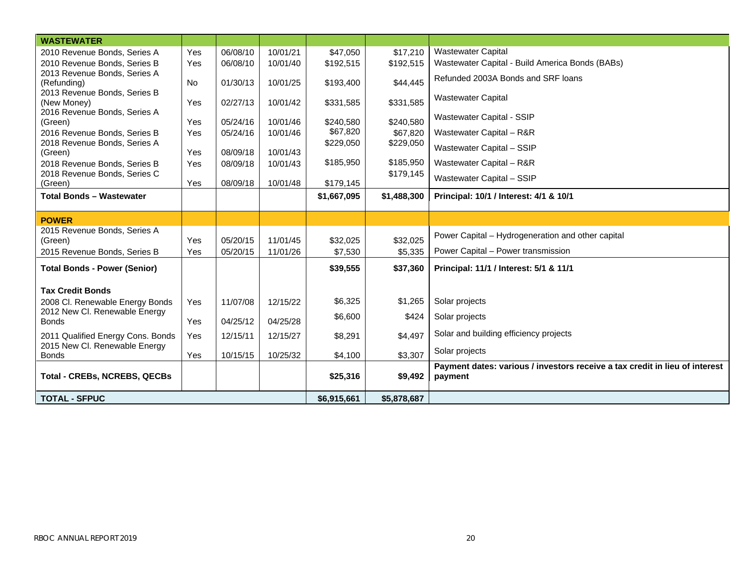| <b>WASTEWATER</b>                                                  |           |          |          |             |             |                                                                             |
|--------------------------------------------------------------------|-----------|----------|----------|-------------|-------------|-----------------------------------------------------------------------------|
| 2010 Revenue Bonds, Series A                                       | Yes       | 06/08/10 | 10/01/21 | \$47,050    | \$17,210    | <b>Wastewater Capital</b>                                                   |
| 2010 Revenue Bonds, Series B                                       | Yes       | 06/08/10 | 10/01/40 | \$192,515   | \$192,515   | Wastewater Capital - Build America Bonds (BABs)                             |
| 2013 Revenue Bonds, Series A                                       |           |          |          |             |             | Refunded 2003A Bonds and SRF loans                                          |
| (Refunding)                                                        | <b>No</b> | 01/30/13 | 10/01/25 | \$193,400   | \$44,445    |                                                                             |
| 2013 Revenue Bonds, Series B                                       |           | 02/27/13 | 10/01/42 |             |             | <b>Wastewater Capital</b>                                                   |
| (New Money)<br>2016 Revenue Bonds, Series A                        | Yes       |          |          | \$331,585   | \$331,585   |                                                                             |
| (Green)                                                            | Yes       | 05/24/16 | 10/01/46 | \$240,580   | \$240,580   | Wastewater Capital - SSIP                                                   |
| 2016 Revenue Bonds, Series B                                       | Yes       | 05/24/16 | 10/01/46 | \$67,820    | \$67,820    | Wastewater Capital - R&R                                                    |
| 2018 Revenue Bonds, Series A                                       |           |          |          | \$229,050   | \$229,050   | Wastewater Capital - SSIP                                                   |
| (Green)                                                            | Yes       | 08/09/18 | 10/01/43 |             |             |                                                                             |
| 2018 Revenue Bonds, Series B                                       | Yes       | 08/09/18 | 10/01/43 | \$185,950   | \$185,950   | Wastewater Capital - R&R                                                    |
| 2018 Revenue Bonds, Series C                                       |           |          |          |             | \$179,145   | Wastewater Capital - SSIP                                                   |
| (Green)                                                            | Yes       | 08/09/18 | 10/01/48 | \$179,145   |             |                                                                             |
| <b>Total Bonds - Wastewater</b>                                    |           |          |          | \$1,667,095 | \$1,488,300 | Principal: 10/1 / Interest: 4/1 & 10/1                                      |
|                                                                    |           |          |          |             |             |                                                                             |
| <b>POWER</b>                                                       |           |          |          |             |             |                                                                             |
| 2015 Revenue Bonds, Series A<br>(Green)                            | Yes       | 05/20/15 | 11/01/45 | \$32,025    | \$32,025    | Power Capital - Hydrogeneration and other capital                           |
| 2015 Revenue Bonds, Series B                                       | Yes       | 05/20/15 | 11/01/26 | \$7,530     | \$5,335     | Power Capital - Power transmission                                          |
|                                                                    |           |          |          |             |             |                                                                             |
| <b>Total Bonds - Power (Senior)</b>                                |           |          |          | \$39,555    | \$37,360    | Principal: 11/1 / Interest: 5/1 & 11/1                                      |
|                                                                    |           |          |          |             |             |                                                                             |
| <b>Tax Credit Bonds</b>                                            |           |          |          |             |             |                                                                             |
| 2008 Cl. Renewable Energy Bonds<br>2012 New Cl. Renewable Energy   | Yes       | 11/07/08 | 12/15/22 | \$6,325     | \$1,265     | Solar projects                                                              |
| <b>Bonds</b>                                                       | Yes       | 04/25/12 | 04/25/28 | \$6,600     | \$424       | Solar projects                                                              |
|                                                                    |           |          |          |             |             | Solar and building efficiency projects                                      |
| 2011 Qualified Energy Cons. Bonds<br>2015 New Cl. Renewable Energy | Yes       | 12/15/11 | 12/15/27 | \$8,291     | \$4,497     |                                                                             |
| <b>Bonds</b>                                                       | Yes       | 10/15/15 | 10/25/32 | \$4,100     | \$3,307     | Solar projects                                                              |
|                                                                    |           |          |          |             |             | Payment dates: various / investors receive a tax credit in lieu of interest |
| <b>Total - CREBs, NCREBS, QECBs</b>                                |           |          |          | \$25,316    | \$9,492     | payment                                                                     |
|                                                                    |           |          |          |             |             |                                                                             |
| <b>TOTAL - SFPUC</b>                                               |           |          |          | \$6,915,661 | \$5,878,687 |                                                                             |